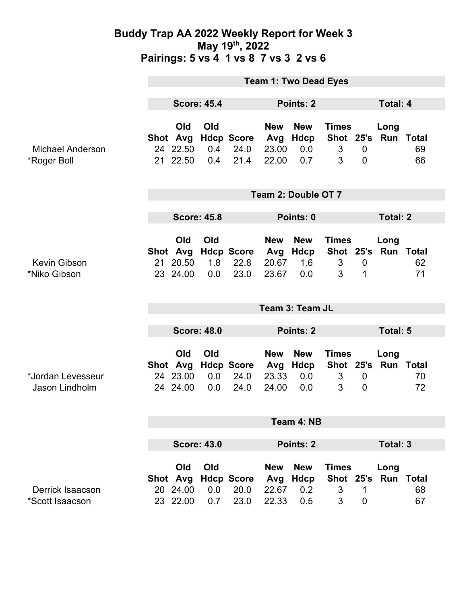### **Buddy Trap AA 2022 Weekly Report for Week 3 May 19th, 2022 Pairings: 5 vs 4 1 vs 8 7 vs 3 2 vs 6**

|                                        | <b>Team 1: Two Dead Eyes</b>    |                                         |                   |                                   |                                     |                                         |                                     |                                    |                             |          |
|----------------------------------------|---------------------------------|-----------------------------------------|-------------------|-----------------------------------|-------------------------------------|-----------------------------------------|-------------------------------------|------------------------------------|-----------------------------|----------|
|                                        | <b>Score: 45.4</b>              |                                         |                   | Points: 2                         |                                     |                                         |                                     | <b>Total: 4</b>                    |                             |          |
| <b>Michael Anderson</b><br>*Roger Boll |                                 | Old<br>Shot Avg<br>24 22.50<br>21 22.50 | Old<br>0.4<br>0.4 | <b>Hdcp Score</b><br>24.0<br>21.4 | <b>New</b><br>Avg<br>23.00<br>22.00 | <b>New</b><br><b>Hdcp</b><br>0.0<br>0.7 | <b>Times</b><br>3<br>3              | $\mathbf 0$<br>$\overline{0}$      | Long<br>Shot 25's Run Total | 69<br>66 |
|                                        | Team 2: Double OT 7             |                                         |                   |                                   |                                     |                                         |                                     |                                    |                             |          |
|                                        | <b>Score: 45.8</b>              |                                         |                   |                                   | Points: 0                           |                                         |                                     |                                    | <b>Total: 2</b>             |          |
| <b>Kevin Gibson</b><br>*Niko Gibson    |                                 | Old<br>Shot Avg<br>21 20.50<br>23 24.00 | Old<br>1.8<br>0.0 | <b>Hdcp Score</b><br>22.8<br>23.0 | <b>New</b><br>Avg<br>20.67<br>23.67 | <b>New</b><br>Hdcp<br>1.6<br>0.0        | <b>Times</b><br>3<br>3              | $\mathbf 0$<br>1                   | Long<br>Shot 25's Run Total | 62<br>71 |
|                                        | Team 3: Team JL                 |                                         |                   |                                   |                                     |                                         |                                     |                                    |                             |          |
|                                        | <b>Score: 48.0</b>              |                                         |                   |                                   | Points: 2                           |                                         |                                     |                                    | Total: 5                    |          |
| *Jordan Levesseur<br>Jason Lindholm    |                                 | Old<br>Shot Avg<br>24 23.00<br>24 24.00 | Old<br>0.0<br>0.0 | <b>Hdcp Score</b><br>24.0<br>24.0 | <b>New</b><br>Avg<br>23.33<br>24.00 | <b>New</b><br>Hdcp<br>0.0<br>0.0        | <b>Times</b><br>Shot 25's<br>3<br>3 | $\boldsymbol{0}$<br>$\overline{0}$ | Long<br><b>Run Total</b>    | 70<br>72 |
|                                        | Team 4: NB                      |                                         |                   |                                   |                                     |                                         |                                     |                                    |                             |          |
|                                        | <b>Score: 43.0</b><br>Points: 2 |                                         |                   |                                   |                                     |                                         | <b>Total: 3</b>                     |                                    |                             |          |
| Derrick Isaacson                       |                                 | Old<br>Shot Avg<br>20 24.00             | Old<br>0.0        | <b>Hdcp Score</b><br>20.0         | <b>New</b><br>Avg<br>22.67          | <b>New</b><br><b>Hdcp</b><br>0.2        | <b>Times</b><br>3                   | 1                                  | Long<br>Shot 25's Run Total | 68       |
| *Scott Isaacson                        |                                 | 23 22.00                                | 0.7               | 23.0                              | 22.33                               | 0.5                                     | 3                                   | $\mathbf 0$                        |                             | 67       |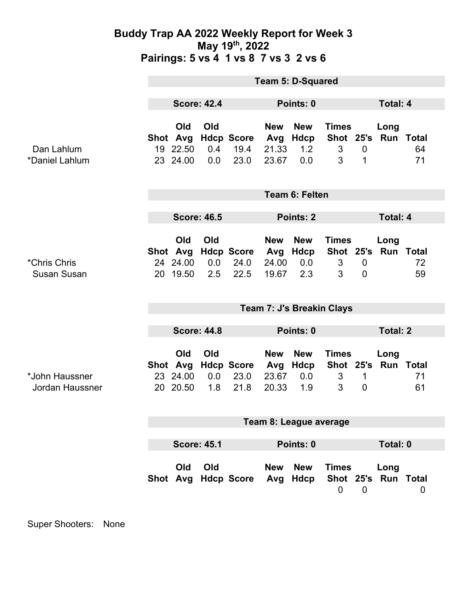### **Buddy Trap AA 2022 Weekly Report for Week 3 May 19th, 2022 Pairings: 5 vs 4 1 vs 8 7 vs 3 2 vs 6**

|                                          | <b>Team 5: D-Squared</b>  |                                         |                   |                                   |                                     |                                  |                                     |                             |                             |          |
|------------------------------------------|---------------------------|-----------------------------------------|-------------------|-----------------------------------|-------------------------------------|----------------------------------|-------------------------------------|-----------------------------|-----------------------------|----------|
|                                          | <b>Score: 42.4</b>        |                                         |                   | Points: 0                         |                                     |                                  | Total: 4                            |                             |                             |          |
| Dan Lahlum<br>*Daniel Lahlum             |                           | Old<br>Shot Avg<br>19 22.50<br>23 24.00 | Old<br>0.4<br>0.0 | <b>Hdcp Score</b><br>19.4<br>23.0 | <b>New</b><br>Avg<br>21.33<br>23.67 | <b>New</b><br>Hdcp<br>1.2<br>0.0 | <b>Times</b><br>3<br>3              | $\mathbf 0$<br>$\mathbf 1$  | Long<br>Shot 25's Run Total | 64<br>71 |
|                                          | <b>Team 6: Felten</b>     |                                         |                   |                                   |                                     |                                  |                                     |                             |                             |          |
|                                          | <b>Score: 46.5</b>        |                                         |                   | <b>Points: 2</b>                  |                                     |                                  | <b>Total: 4</b>                     |                             |                             |          |
| *Chris Chris<br><b>Susan Susan</b>       | 20                        | Old<br>Shot Avg<br>24 24.00<br>19.50    | Old<br>0.0<br>2.5 | <b>Hdcp Score</b><br>24.0<br>22.5 | <b>New</b><br>Avg<br>24.00<br>19.67 | <b>New</b><br>Hdcp<br>0.0<br>2.3 | <b>Times</b><br>$\mathfrak{S}$<br>3 | $\mathbf 0$<br>$\mathbf{0}$ | Long<br>Shot 25's Run Total | 72<br>59 |
|                                          | Team 7: J's Breakin Clays |                                         |                   |                                   |                                     |                                  |                                     |                             |                             |          |
|                                          | <b>Score: 44.8</b>        |                                         |                   |                                   | Points: 0                           |                                  |                                     | <b>Total: 2</b>             |                             |          |
| *John Haussner<br><b>Jordan Haussner</b> |                           | Old<br>Shot Avg<br>23 24.00<br>20 20.50 | Old<br>0.0<br>1.8 | <b>Hdcp Score</b><br>23.0<br>21.8 | <b>New</b><br>Avg<br>23.67<br>20.33 | <b>New</b><br>Hdcp<br>0.0<br>1.9 | <b>Times</b><br>3<br>3              | 1<br>$\mathbf 0$            | Long<br>Shot 25's Run Total | 71<br>61 |
|                                          | Team 8: League average    |                                         |                   |                                   |                                     |                                  |                                     |                             |                             |          |
|                                          | <b>Score: 45.1</b>        |                                         |                   |                                   | Points: 0                           |                                  |                                     | Total: 0                    |                             |          |
|                                          |                           | Old                                     | Old               | Shot Avg Hdcp Score Avg Hdcp      | <b>New</b>                          | <b>New</b>                       | <b>Times</b><br>0                   | $\overline{0}$              | Long<br>Shot 25's Run Total | 0        |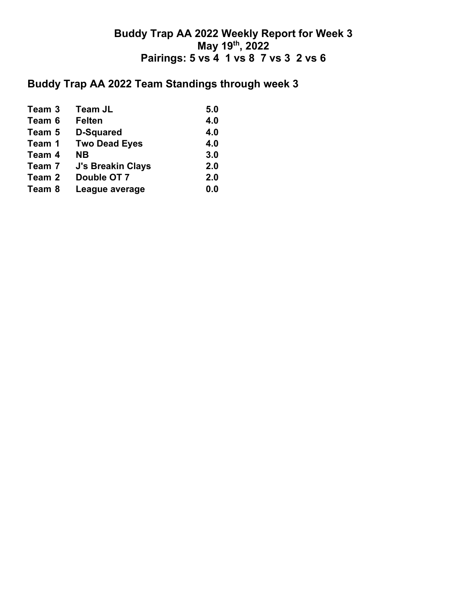## **Buddy Trap AA 2022 Weekly Report for Week 3 May 19th, 2022 Pairings: 5 vs 4 1 vs 8 7 vs 3 2 vs 6**

# **Buddy Trap AA 2022 Team Standings through week 3**

| Team 3 | <b>Team JL</b>           | 5.0 |
|--------|--------------------------|-----|
| Team 6 | <b>Felten</b>            | 4.0 |
| Team 5 | <b>D-Squared</b>         | 4.0 |
| Team 1 | <b>Two Dead Eyes</b>     | 4.0 |
| Team 4 | <b>NB</b>                | 3.0 |
| Team 7 | <b>J's Breakin Clays</b> | 2.0 |
| Team 2 | Double OT 7              | 2.0 |
| Team 8 | League average           | 0.0 |